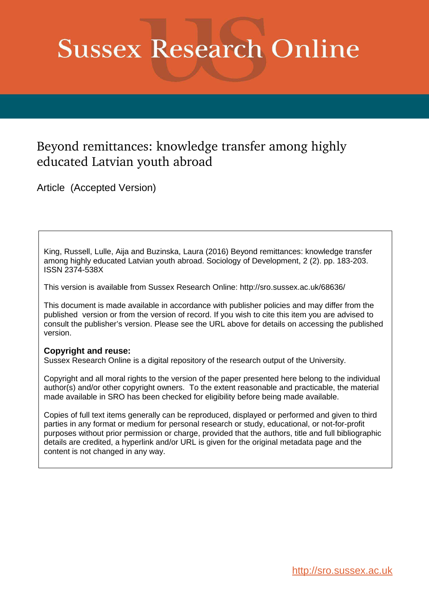# **Sussex Research Online**

# Beyond remittances: knowledge transfer among highly educated Latvian youth abroad

Article (Accepted Version)

King, Russell, Lulle, Aija and Buzinska, Laura (2016) Beyond remittances: knowledge transfer among highly educated Latvian youth abroad. Sociology of Development, 2 (2). pp. 183-203. ISSN 2374-538X

This version is available from Sussex Research Online: http://sro.sussex.ac.uk/68636/

This document is made available in accordance with publisher policies and may differ from the published version or from the version of record. If you wish to cite this item you are advised to consult the publisher's version. Please see the URL above for details on accessing the published version.

## **Copyright and reuse:**

Sussex Research Online is a digital repository of the research output of the University.

Copyright and all moral rights to the version of the paper presented here belong to the individual author(s) and/or other copyright owners. To the extent reasonable and practicable, the material made available in SRO has been checked for eligibility before being made available.

Copies of full text items generally can be reproduced, displayed or performed and given to third parties in any format or medium for personal research or study, educational, or not-for-profit purposes without prior permission or charge, provided that the authors, title and full bibliographic details are credited, a hyperlink and/or URL is given for the original metadata page and the content is not changed in any way.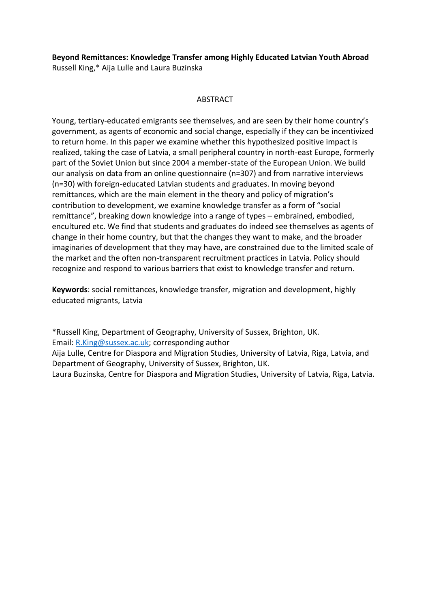# **Beyond Remittances: Knowledge Transfer among Highly Educated Latvian Youth Abroad**

Russell King,\* Aija Lulle and Laura Buzinska

## **ABSTRACT**

Young, tertiary-educated emigrants see themselves, and are seen by their home country's government, as agents of economic and social change, especially if they can be incentivized to return home. In this paper we examine whether this hypothesized positive impact is realized, taking the case of Latvia, a small peripheral country in north-east Europe, formerly part of the Soviet Union but since 2004 a member-state of the European Union. We build our analysis on data from an online questionnaire (n=307) and from narrative interviews (n=30) with foreign-educated Latvian students and graduates. In moving beyond remittances, which are the main element in the theory and policy of migration's contribution to development, we examine knowledge transfer as a form of "social remittance", breaking down knowledge into a range of types – embrained, embodied, encultured etc. We find that students and graduates do indeed see themselves as agents of change in their home country, but that the changes they want to make, and the broader imaginaries of development that they may have, are constrained due to the limited scale of the market and the often non-transparent recruitment practices in Latvia. Policy should recognize and respond to various barriers that exist to knowledge transfer and return.

**Keywords**: social remittances, knowledge transfer, migration and development, highly educated migrants, Latvia

\*Russell King, Department of Geography, University of Sussex, Brighton, UK.

Email: [R.King@sussex.ac.uk;](mailto:R.King@sussex.ac.uk) corresponding author

Aija Lulle, Centre for Diaspora and Migration Studies, University of Latvia, Riga, Latvia, and Department of Geography, University of Sussex, Brighton, UK.

Laura Buzinska, Centre for Diaspora and Migration Studies, University of Latvia, Riga, Latvia.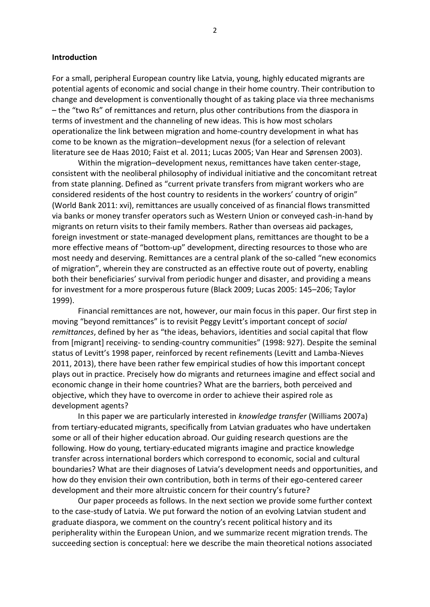#### **Introduction**

For a small, peripheral European country like Latvia, young, highly educated migrants are potential agents of economic and social change in their home country. Their contribution to change and development is conventionally thought of as taking place via three mechanisms – the "two Rs" of remittances and return, plus other contributions from the diaspora in terms of investment and the channeling of new ideas. This is how most scholars operationalize the link between migration and home-country development in what has come to be known as the migration–development nexus (for a selection of relevant literature see de Haas 2010; Faist et al. 2011; Lucas 2005; Van Hear and Sørensen 2003).

 Within the migration–development nexus, remittances have taken center-stage, consistent with the neoliberal philosophy of individual initiative and the concomitant retreat from state planning. Defined as "current private transfers from migrant workers who are considered residents of the host country to residents in the workers' country of origin" (World Bank 2011: xvi), remittances are usually conceived of as financial flows transmitted via banks or money transfer operators such as Western Union or conveyed cash-in-hand by migrants on return visits to their family members. Rather than overseas aid packages, foreign investment or state-managed development plans, remittances are thought to be a more effective means of "bottom-up" development, directing resources to those who are most needy and deserving. Remittances are a central plank of the so-called "new economics of migration", wherein they are constructed as an effective route out of poverty, enabling both their beneficiaries' survival from periodic hunger and disaster, and providing a means for investment for a more prosperous future (Black 2009; Lucas 2005: 145–206; Taylor 1999).

 Financial remittances are not, however, our main focus in this paper. Our first step in moving "beyond remittances" is to revisit Peggy Levitt's important concept of *social* remittances, defined by her as "the ideas, behaviors, identities and social capital that flow from [migrant] receiving- to sending-country communities<sup>"</sup> (1998: 927). Despite the seminal status of Levitt's 1998 paper, reinforced by recent refinements (Levitt and Lamba-Nieves 2011, 2013), there have been rather few empirical studies of how this important concept plays out in practice. Precisely how do migrants and returnees imagine and effect social and economic change in their home countries? What are the barriers, both perceived and objective, which they have to overcome in order to achieve their aspired role as development agents?

 In this paper we are particularly interested in *knowledge transfer* (Williams 2007a) from tertiary-educated migrants, specifically from Latvian graduates who have undertaken some or all of their higher education abroad. Our guiding research questions are the following. How do young, tertiary-educated migrants imagine and practice knowledge transfer across international borders which correspond to economic, social and cultural boundaries? What are their diagnoses of Latvia's development needs and opportunities, and how do they envision their own contribution, both in terms of their ego-centered career development and their more altruistic concern for their country's future?

 Our paper proceeds as follows. In the next section we provide some further context to the case-study of Latvia. We put forward the notion of an evolving Latvian student and graduate diaspora, we comment on the country's recent political history and its peripherality within the European Union, and we summarize recent migration trends. The succeeding section is conceptual: here we describe the main theoretical notions associated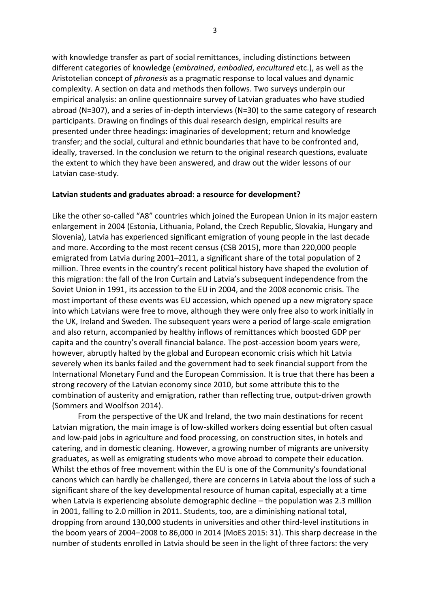with knowledge transfer as part of social remittances, including distinctions between different categories of knowledge (*embrained*, *embodied*, *encultured* etc.), as well as the Aristotelian concept of *phronesis* as a pragmatic response to local values and dynamic complexity. A section on data and methods then follows. Two surveys underpin our empirical analysis: an online questionnaire survey of Latvian graduates who have studied abroad (N=307), and a series of in-depth interviews (N=30) to the same category of research participants. Drawing on findings of this dual research design, empirical results are presented under three headings: imaginaries of development; return and knowledge transfer; and the social, cultural and ethnic boundaries that have to be confronted and, ideally, traversed. In the conclusion we return to the original research questions, evaluate the extent to which they have been answered, and draw out the wider lessons of our Latvian case-study.

#### **Latvian students and graduates abroad: a resource for development?**

Like the other so-called "A8" countries which joined the European Union in its major eastern enlargement in 2004 (Estonia, Lithuania, Poland, the Czech Republic, Slovakia, Hungary and Slovenia), Latvia has experienced significant emigration of young people in the last decade and more. According to the most recent census (CSB 2015), more than 220,000 people emigrated from Latvia during 2001–2011, a significant share of the total population of 2 million. Three events in the country's recent political history have shaped the evolution of this migration: the fall of the Iron Curtain and Latvia's subsequent independence from the Soviet Union in 1991, its accession to the EU in 2004, and the 2008 economic crisis. The most important of these events was EU accession, which opened up a new migratory space into which Latvians were free to move, although they were only free also to work initially in the UK, Ireland and Sweden. The subsequent years were a period of large-scale emigration and also return, accompanied by healthy inflows of remittances which boosted GDP per capita and the country's overall financial balance. The post-accession boom years were, however, abruptly halted by the global and European economic crisis which hit Latvia severely when its banks failed and the government had to seek financial support from the International Monetary Fund and the European Commission. It is true that there has been a strong recovery of the Latvian economy since 2010, but some attribute this to the combination of austerity and emigration, rather than reflecting true, output-driven growth (Sommers and Woolfson 2014).

 From the perspective of the UK and Ireland, the two main destinations for recent Latvian migration, the main image is of low-skilled workers doing essential but often casual and low-paid jobs in agriculture and food processing, on construction sites, in hotels and catering, and in domestic cleaning. However, a growing number of migrants are university graduates, as well as emigrating students who move abroad to compete their education. Whilst the ethos of free movement within the EU is one of the Community's foundational canons which can hardly be challenged, there are concerns in Latvia about the loss of such a significant share of the key developmental resource of human capital, especially at a time when Latvia is experiencing absolute demographic decline – the population was 2.3 million in 2001, falling to 2.0 million in 2011. Students, too, are a diminishing national total, dropping from around 130,000 students in universities and other third-level institutions in the boom years of 2004–2008 to 86,000 in 2014 (MoES 2015: 31). This sharp decrease in the number of students enrolled in Latvia should be seen in the light of three factors: the very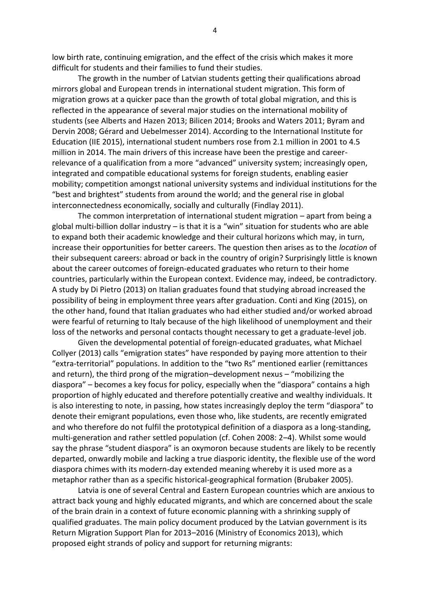low birth rate, continuing emigration, and the effect of the crisis which makes it more difficult for students and their families to fund their studies.

 The growth in the number of Latvian students getting their qualifications abroad mirrors global and European trends in international student migration. This form of migration grows at a quicker pace than the growth of total global migration, and this is reflected in the appearance of several major studies on the international mobility of students (see Alberts and Hazen 2013; Bilicen 2014; Brooks and Waters 2011; Byram and Dervin 2008; Gérard and Uebelmesser 2014). According to the International Institute for Education (IIE 2015), international student numbers rose from 2.1 million in 2001 to 4.5 million in 2014. The main drivers of this increase have been the prestige and careerrelevance of a qualification from a more "advanced" university system; increasingly open, integrated and compatible educational systems for foreign students, enabling easier mobility; competition amongst national university systems and individual institutions for the "best and brightest" students from around the world; and the general rise in global interconnectedness economically, socially and culturally (Findlay 2011).

 The common interpretation of international student migration – apart from being a global multi-billion dollar industry  $-$  is that it is a "win" situation for students who are able to expand both their academic knowledge and their cultural horizons which may, in turn, increase their opportunities for better careers. The question then arises as to the *location* of their subsequent careers: abroad or back in the country of origin? Surprisingly little is known about the career outcomes of foreign-educated graduates who return to their home countries, particularly within the European context. Evidence may, indeed, be contradictory. A study by Di Pietro (2013) on Italian graduates found that studying abroad increased the possibility of being in employment three years after graduation. Conti and King (2015), on the other hand, found that Italian graduates who had either studied and/or worked abroad were fearful of returning to Italy because of the high likelihood of unemployment and their loss of the networks and personal contacts thought necessary to get a graduate-level job.

 Given the developmental potential of foreign-educated graduates, what Michael Collyer (2013) calls "emigration states" have responded by paying more attention to their "extra-territorial" populations. In addition to the "two Rs" mentioned earlier (remittances and return), the third prong of the migration–development nexus – "mobilizing the diaspora" – becomes a key focus for policy, especially when the "diaspora" contains a high proportion of highly educated and therefore potentially creative and wealthy individuals. It is also interesting to note, in passing, how states increasingly deploy the term "diaspora" to denote their emigrant populations, even those who, like students, are recently emigrated and who therefore do not fulfil the prototypical definition of a diaspora as a long-standing, multi-generation and rather settled population (cf. Cohen 2008: 2–4). Whilst some would say the phrase "student diaspora" is an oxymoron because students are likely to be recently departed, onwardly mobile and lacking a true diasporic identity, the flexible use of the word diaspora chimes with its modern-day extended meaning whereby it is used more as a metaphor rather than as a specific historical-geographical formation (Brubaker 2005).

 Latvia is one of several Central and Eastern European countries which are anxious to attract back young and highly educated migrants, and which are concerned about the scale of the brain drain in a context of future economic planning with a shrinking supply of qualified graduates. The main policy document produced by the Latvian government is its Return Migration Support Plan for 2013–2016 (Ministry of Economics 2013), which proposed eight strands of policy and support for returning migrants: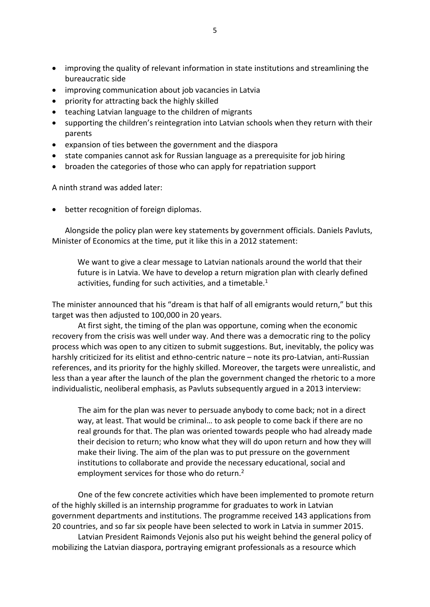- improving the quality of relevant information in state institutions and streamlining the bureaucratic side
- improving communication about job vacancies in Latvia
- priority for attracting back the highly skilled
- teaching Latvian language to the children of migrants
- supporting the children's reintegration into Latvian schools when they return with their parents
- expansion of ties between the government and the diaspora
- state companies cannot ask for Russian language as a prerequisite for job hiring
- broaden the categories of those who can apply for repatriation support

A ninth strand was added later:

• better recognition of foreign diplomas.

Alongside the policy plan were key statements by government officials. Daniels Pavluts, Minister of Economics at the time, put it like this in a 2012 statement:

We want to give a clear message to Latvian nationals around the world that their future is in Latvia. We have to develop a return migration plan with clearly defined activities, funding for such activities, and a timetable.<sup>1</sup>

The minister announced that his "dream is that half of all emigrants would return." but this target was then adjusted to 100,000 in 20 years.

At first sight, the timing of the plan was opportune, coming when the economic recovery from the crisis was well under way. And there was a democratic ring to the policy process which was open to any citizen to submit suggestions. But, inevitably, the policy was harshly criticized for its elitist and ethno-centric nature - note its pro-Latvian, anti-Russian references, and its priority for the highly skilled. Moreover, the targets were unrealistic, and less than a year after the launch of the plan the government changed the rhetoric to a more individualistic, neoliberal emphasis, as Pavluts subsequently argued in a 2013 interview:

The aim for the plan was never to persuade anybody to come back; not in a direct way, at least. That would be criminal... to ask people to come back if there are no real grounds for that. The plan was oriented towards people who had already made their decision to return; who know what they will do upon return and how they will make their living. The aim of the plan was to put pressure on the government institutions to collaborate and provide the necessary educational, social and employment services for those who do return.<sup>2</sup>

One of the few concrete activities which have been implemented to promote return of the highly skilled is an internship programme for graduates to work in Latvian government departments and institutions. The programme received 143 applications from 20 countries, and so far six people have been selected to work in Latvia in summer 2015.

Latvian President Raimonds Vejonis also put his weight behind the general policy of mobilizing the Latvian diaspora, portraying emigrant professionals as a resource which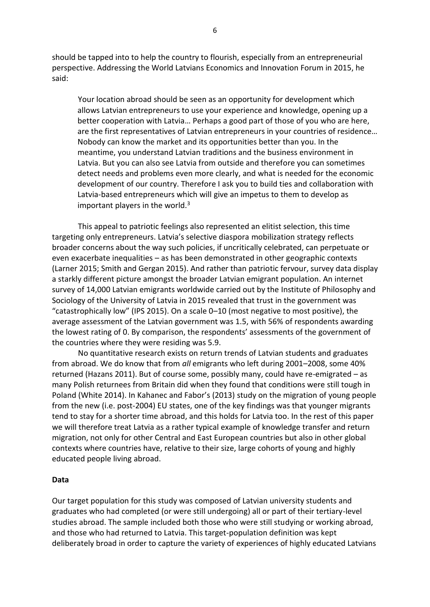should be tapped into to help the country to flourish, especially from an entrepreneurial perspective. Addressing the World Latvians Economics and Innovation Forum in 2015, he said:

 Your location abroad should be seen as an opportunity for development which allows Latvian entrepreneurs to use your experience and knowledge, opening up a better cooperation with Latvia… Perhaps a good part of those of you who are here, are the first representatives of Latvian entrepreneurs in your countries of residence... Nobody can know the market and its opportunities better than you. In the meantime, you understand Latvian traditions and the business environment in Latvia. But you can also see Latvia from outside and therefore you can sometimes detect needs and problems even more clearly, and what is needed for the economic development of our country. Therefore I ask you to build ties and collaboration with Latvia-based entrepreneurs which will give an impetus to them to develop as important players in the world. $3$ 

 This appeal to patriotic feelings also represented an elitist selection, this time targeting only entrepreneurs. Latvia's selective diaspora mobilization strategy reflects broader concerns about the way such policies, if uncritically celebrated, can perpetuate or even exacerbate inequalities – as has been demonstrated in other geographic contexts (Larner 2015; Smith and Gergan 2015). And rather than patriotic fervour, survey data display a starkly different picture amongst the broader Latvian emigrant population. An internet survey of 14,000 Latvian emigrants worldwide carried out by the Institute of Philosophy and Sociology of the University of Latvia in 2015 revealed that trust in the government was "catastrophically low" (IPS 2015). On a scale 0-10 (most negative to most positive), the average assessment of the Latvian government was 1.5, with 56% of respondents awarding the lowest rating of 0. By comparison, the respondents' assessments of the government of the countries where they were residing was 5.9.

 No quantitative research exists on return trends of Latvian students and graduates from abroad. We do know that from *all* emigrants who left during 2001–2008, some 40% returned (Hazans 2011). But of course some, possibly many, could have re-emigrated – as many Polish returnees from Britain did when they found that conditions were still tough in Poland (White 2014). In Kahanec and Fabor's (2013) study on the migration of young people from the new (i.e. post-2004) EU states, one of the key findings was that younger migrants tend to stay for a shorter time abroad, and this holds for Latvia too. In the rest of this paper we will therefore treat Latvia as a rather typical example of knowledge transfer and return migration, not only for other Central and East European countries but also in other global contexts where countries have, relative to their size, large cohorts of young and highly educated people living abroad.

#### **Data**

Our target population for this study was composed of Latvian university students and graduates who had completed (or were still undergoing) all or part of their tertiary-level studies abroad. The sample included both those who were still studying or working abroad, and those who had returned to Latvia. This target-population definition was kept deliberately broad in order to capture the variety of experiences of highly educated Latvians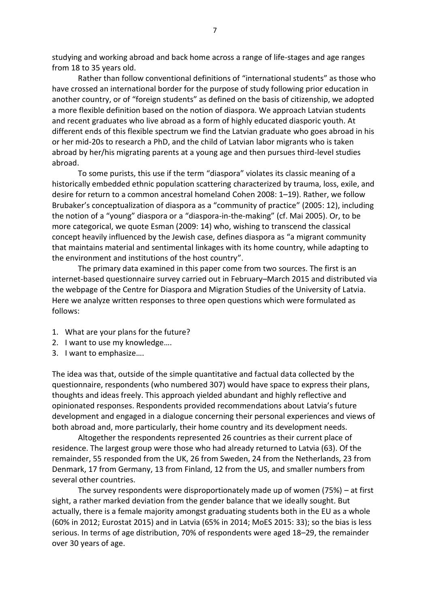studying and working abroad and back home across a range of life-stages and age ranges from 18 to 35 years old.

Rather than follow conventional definitions of "international students" as those who have crossed an international border for the purpose of study following prior education in another country, or of "foreign students" as defined on the basis of citizenship, we adopted a more flexible definition based on the notion of diaspora. We approach Latvian students and recent graduates who live abroad as a form of highly educated diasporic youth. At different ends of this flexible spectrum we find the Latvian graduate who goes abroad in his or her mid-20s to research a PhD, and the child of Latvian labor migrants who is taken abroad by her/his migrating parents at a young age and then pursues third-level studies abroad.

To some purists, this use if the term "diaspora" violates its classic meaning of a historically embedded ethnic population scattering characterized by trauma, loss, exile, and desire for return to a common ancestral homeland Cohen 2008: 1–19). Rather, we follow Brubaker's conceptualization of diaspora as a "community of practice" (2005: 12), including the notion of a "young" diaspora or a "diaspora-in-the-making" (cf. Mai 2005). Or, to be more categorical, we quote Esman (2009: 14) who, wishing to transcend the classical concept heavily influenced by the Jewish case, defines diaspora as "a migrant community that maintains material and sentimental linkages with its home country, while adapting to the environment and institutions of the host country".

 The primary data examined in this paper come from two sources. The first is an internet-based questionnaire survey carried out in February–March 2015 and distributed via the webpage of the Centre for Diaspora and Migration Studies of the University of Latvia. Here we analyze written responses to three open questions which were formulated as follows:

- 1. What are your plans for the future?
- 2. I want to use my knowledge....
- 3. I want to emphasize….

The idea was that, outside of the simple quantitative and factual data collected by the questionnaire, respondents (who numbered 307) would have space to express their plans, thoughts and ideas freely. This approach yielded abundant and highly reflective and opinionated responses. Respondents provided recommendations about Latvia's future development and engaged in a dialogue concerning their personal experiences and views of both abroad and, more particularly, their home country and its development needs.

 Altogether the respondents represented 26 countries as their current place of residence. The largest group were those who had already returned to Latvia (63). Of the remainder, 55 responded from the UK, 26 from Sweden, 24 from the Netherlands, 23 from Denmark, 17 from Germany, 13 from Finland, 12 from the US, and smaller numbers from several other countries.

 The survey respondents were disproportionately made up of women (75%) – at first sight, a rather marked deviation from the gender balance that we ideally sought. But actually, there is a female majority amongst graduating students both in the EU as a whole (60% in 2012; Eurostat 2015) and in Latvia (65% in 2014; MoES 2015: 33); so the bias is less serious. In terms of age distribution, 70% of respondents were aged 18–29, the remainder over 30 years of age.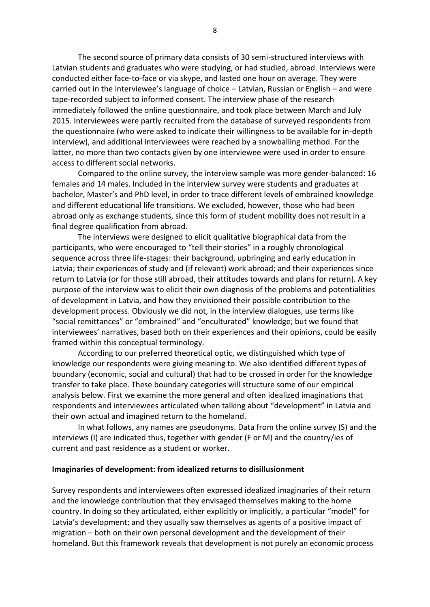The second source of primary data consists of 30 semi-structured interviews with Latvian students and graduates who were studying, or had studied, abroad. Interviews were conducted either face-to-face or via skype, and lasted one hour on average. They were carried out in the interviewee's language of choice – Latvian, Russian or English – and were tape-recorded subject to informed consent. The interview phase of the research immediately followed the online questionnaire, and took place between March and July 2015. Interviewees were partly recruited from the database of surveyed respondents from the questionnaire (who were asked to indicate their willingness to be available for in-depth interview), and additional interviewees were reached by a snowballing method. For the latter, no more than two contacts given by one interviewee were used in order to ensure access to different social networks.

 Compared to the online survey, the interview sample was more gender-balanced: 16 females and 14 males. Included in the interview survey were students and graduates at bachelor, Master's and PhD level, in order to trace different levels of embrained knowledge and different educational life transitions. We excluded, however, those who had been abroad only as exchange students, since this form of student mobility does not result in a final degree qualification from abroad.

 The interviews were designed to elicit qualitative biographical data from the participants, who were encouraged to "tell their stories" in a roughly chronological sequence across three life-stages: their background, upbringing and early education in Latvia; their experiences of study and (if relevant) work abroad; and their experiences since return to Latvia (or for those still abroad, their attitudes towards and plans for return). A key purpose of the interview was to elicit their own diagnosis of the problems and potentialities of development in Latvia, and how they envisioned their possible contribution to the development process. Obviously we did not, in the interview dialogues, use terms like ͞social remittances͟ or ͞embrained͟ and ͞enculturated͟ knowledge; but we found that interviewees' narratives, based both on their experiences and their opinions, could be easily framed within this conceptual terminology.

 According to our preferred theoretical optic, we distinguished which type of knowledge our respondents were giving meaning to. We also identified different types of boundary (economic, social and cultural) that had to be crossed in order for the knowledge transfer to take place. These boundary categories will structure some of our empirical analysis below. First we examine the more general and often idealized imaginations that respondents and interviewees articulated when talking about "development" in Latvia and their own actual and imagined return to the homeland.

 In what follows, any names are pseudonyms. Data from the online survey (S) and the interviews (I) are indicated thus, together with gender (F or M) and the country/ies of current and past residence as a student or worker.

#### **Imaginaries of development: from idealized returns to disillusionment**

Survey respondents and interviewees often expressed idealized imaginaries of their return and the knowledge contribution that they envisaged themselves making to the home country. In doing so they articulated, either explicitly or implicitly, a particular "model" for Latvia's development; and they usually saw themselves as agents of a positive impact of migration – both on their own personal development and the development of their homeland. But this framework reveals that development is not purely an economic process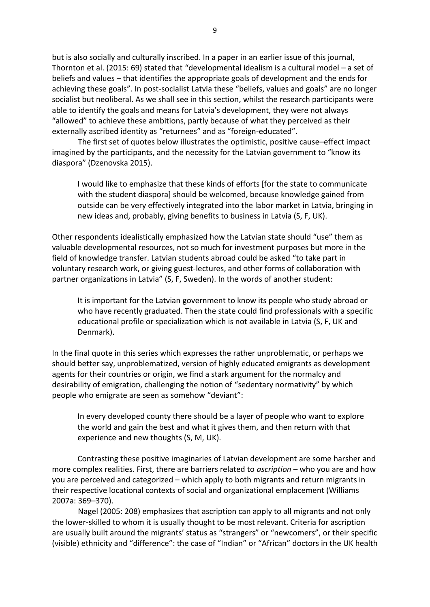but is also socially and culturally inscribed. In a paper in an earlier issue of this journal, Thornton et al. (2015: 69) stated that "developmental idealism is a cultural model – a set of beliefs and values – that identifies the appropriate goals of development and the ends for achieving these goals". In post-socialist Latvia these "beliefs, values and goals" are no longer socialist but neoliberal. As we shall see in this section, whilst the research participants were able to identify the goals and means for Latvia's development, they were not always ͞allowed͟ to achieve these ambitions, partly because of what they perceived as their externally ascribed identity as "returnees" and as "foreign-educated".

 The first set of quotes below illustrates the optimistic, positive cause–effect impact imagined by the participants, and the necessity for the Latvian government to "know its diaspora" (Dzenovska 2015).

 I would like to emphasize that these kinds of efforts [for the state to communicate with the student diaspora] should be welcomed, because knowledge gained from outside can be very effectively integrated into the labor market in Latvia, bringing in new ideas and, probably, giving benefits to business in Latvia (S, F, UK).

Other respondents idealistically emphasized how the Latvian state should "use" them as valuable developmental resources, not so much for investment purposes but more in the field of knowledge transfer. Latvian students abroad could be asked "to take part in voluntary research work, or giving guest-lectures, and other forms of collaboration with partner organizations in Latvia" (S, F, Sweden). In the words of another student:

It is important for the Latvian government to know its people who study abroad or who have recently graduated. Then the state could find professionals with a specific educational profile or specialization which is not available in Latvia (S, F, UK and Denmark).

In the final quote in this series which expresses the rather unproblematic, or perhaps we should better say, unproblematized, version of highly educated emigrants as development agents for their countries or origin, we find a stark argument for the normalcy and desirability of emigration, challenging the notion of "sedentary normativity" by which people who emigrate are seen as somehow "deviant":

In every developed county there should be a layer of people who want to explore the world and gain the best and what it gives them, and then return with that experience and new thoughts (S, M, UK).

Contrasting these positive imaginaries of Latvian development are some harsher and more complex realities. First, there are barriers related to *ascription* – who you are and how you are perceived and categorized – which apply to both migrants and return migrants in their respective locational contexts of social and organizational emplacement (Williams 2007a: 369–370).

 Nagel (2005: 208) emphasizes that ascription can apply to all migrants and not only the lower-skilled to whom it is usually thought to be most relevant. Criteria for ascription are usually built around the migrants' status as "strangers" or "newcomers", or their specific (visible) ethnicity and "difference": the case of "Indian" or "African" doctors in the UK health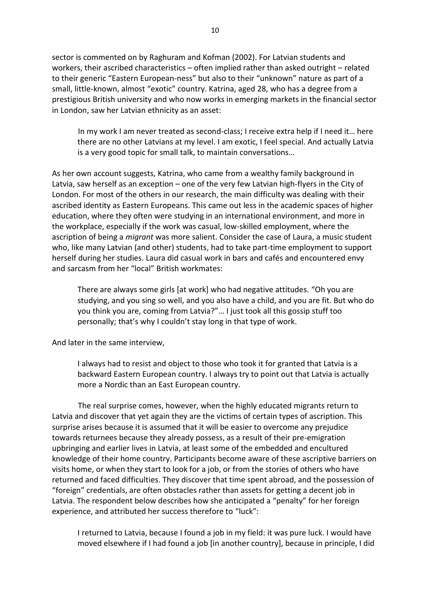sector is commented on by Raghuram and Kofman (2002). For Latvian students and workers, their ascribed characteristics – often implied rather than asked outright – related to their generic "Eastern European-ness" but also to their "unknown" nature as part of a small, little-known, almost "exotic" country. Katrina, aged 28, who has a degree from a prestigious British university and who now works in emerging markets in the financial sector in London, saw her Latvian ethnicity as an asset:

In my work I am never treated as second-class; I receive extra help if I need it... here there are no other Latvians at my level. I am exotic, I feel special. And actually Latvia is a very good topic for small talk, to maintain conversations...

As her own account suggests, Katrina, who came from a wealthy family background in Latvia, saw herself as an exception – one of the very few Latvian high-flyers in the City of London. For most of the others in our research, the main difficulty was dealing with their ascribed identity as Eastern Europeans. This came out less in the academic spaces of higher education, where they often were studying in an international environment, and more in the workplace, especially if the work was casual, low-skilled employment, where the ascription of being a *migrant* was more salient. Consider the case of Laura, a music student who, like many Latvian (and other) students, had to take part-time employment to support herself during her studies. Laura did casual work in bars and cafés and encountered envy and sarcasm from her "local" British workmates:

There are always some girls [at work] who had negative attitudes. "Oh you are studying, and you sing so well, and you also have a child, and you are fit. But who do you think you are, coming from Latvia?"... I just took all this gossip stuff too personally; that's why I couldn't stay long in that type of work.

And later in the same interview,

 I always had to resist and object to those who took it for granted that Latvia is a backward Eastern European country. I always try to point out that Latvia is actually more a Nordic than an East European country.

 The real surprise comes, however, when the highly educated migrants return to Latvia and discover that yet again they are the victims of certain types of ascription. This surprise arises because it is assumed that it will be easier to overcome any prejudice towards returnees because they already possess, as a result of their pre-emigration upbringing and earlier lives in Latvia, at least some of the embedded and encultured knowledge of their home country. Participants become aware of these ascriptive barriers on visits home, or when they start to look for a job, or from the stories of others who have returned and faced difficulties. They discover that time spent abroad, and the possession of ͞foreign͟ credentials, are often obstacles rather than assets for getting a decent job in Latvia. The respondent below describes how she anticipated a "penalty" for her foreign experience, and attributed her success therefore to "luck":

 I returned to Latvia, because I found a job in my field: it was pure luck. I would have moved elsewhere if I had found a job [in another country], because in principle, I did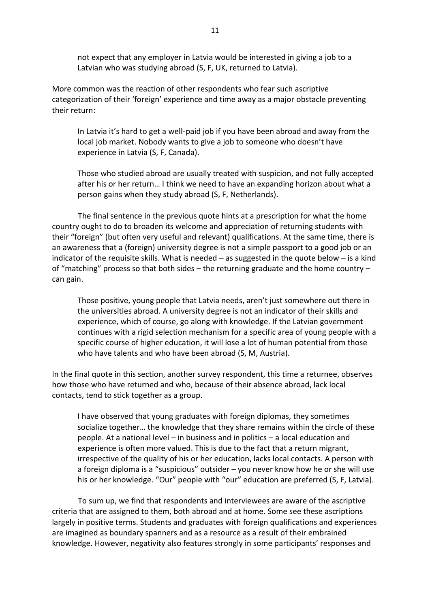not expect that any employer in Latvia would be interested in giving a job to a Latvian who was studying abroad (S, F, UK, returned to Latvia).

More common was the reaction of other respondents who fear such ascriptive categorization of their 'foreign' experience and time away as a major obstacle preventing their return:

In Latvia it's hard to get a well-paid job if you have been abroad and away from the local job market. Nobody wants to give a job to someone who doesn't have experience in Latvia (S, F, Canada).

 Those who studied abroad are usually treated with suspicion, and not fully accepted after his or her return... I think we need to have an expanding horizon about what a person gains when they study abroad (S, F, Netherlands).

 The final sentence in the previous quote hints at a prescription for what the home country ought to do to broaden its welcome and appreciation of returning students with their "foreign" (but often very useful and relevant) qualifications. At the same time, there is an awareness that a (foreign) university degree is not a simple passport to a good job or an indicator of the requisite skills. What is needed – as suggested in the quote below – is a kind of "matching" process so that both sides  $-$  the returning graduate and the home country  $$ can gain.

Those positive, young people that Latvia needs, aren't just somewhere out there in the universities abroad. A university degree is not an indicator of their skills and experience, which of course, go along with knowledge. If the Latvian government continues with a rigid selection mechanism for a specific area of young people with a specific course of higher education, it will lose a lot of human potential from those who have talents and who have been abroad (S, M, Austria).

In the final quote in this section, another survey respondent, this time a returnee, observes how those who have returned and who, because of their absence abroad, lack local contacts, tend to stick together as a group.

 I have observed that young graduates with foreign diplomas, they sometimes socialize together... the knowledge that they share remains within the circle of these people. At a national level – in business and in politics – a local education and experience is often more valued. This is due to the fact that a return migrant, irrespective of the quality of his or her education, lacks local contacts. A person with a foreign diploma is a "suspicious" outsider - you never know how he or she will use his or her knowledge. "Our" people with "our" education are preferred (S, F, Latvia).

 To sum up, we find that respondents and interviewees are aware of the ascriptive criteria that are assigned to them, both abroad and at home. Some see these ascriptions largely in positive terms. Students and graduates with foreign qualifications and experiences are imagined as boundary spanners and as a resource as a result of their embrained knowledge. However, negativity also features strongly in some participants' responses and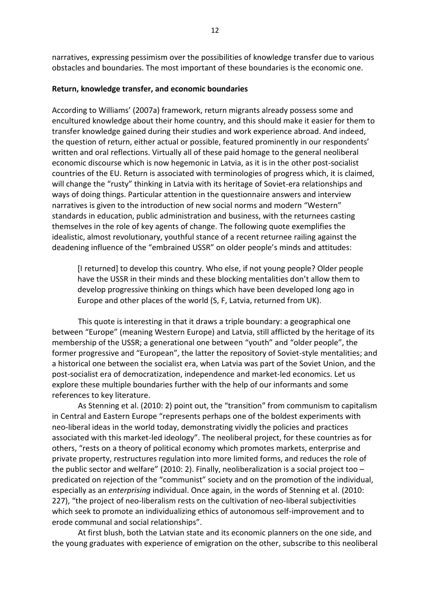narratives, expressing pessimism over the possibilities of knowledge transfer due to various obstacles and boundaries. The most important of these boundaries is the economic one.

#### Return, knowledge transfer, and economic boundaries

According to Williams' (2007a) framework, return migrants already possess some and encultured knowledge about their home country, and this should make it easier for them to transfer knowledge gained during their studies and work experience abroad. And indeed, the question of return, either actual or possible, featured prominently in our respondents' written and oral reflections. Virtually all of these paid homage to the general neoliberal economic discourse which is now hegemonic in Latvia, as it is in the other post-socialist countries of the EU. Return is associated with terminologies of progress which, it is claimed, will change the "rusty" thinking in Latvia with its heritage of Soviet-era relationships and ways of doing things. Particular attention in the questionnaire answers and interview narratives is given to the introduction of new social norms and modern "Western" standards in education, public administration and business, with the returnees casting themselves in the role of key agents of change. The following quote exemplifies the idealistic, almost revolutionary, youthful stance of a recent returnee railing against the deadening influence of the "embrained USSR" on older people's minds and attitudes:

[I returned] to develop this country. Who else, if not young people? Older people have the USSR in their minds and these blocking mentalities don't allow them to develop progressive thinking on things which have been developed long ago in Europe and other places of the world (S, F, Latvia, returned from UK).

This quote is interesting in that it draws a triple boundary: a geographical one between "Europe" (meaning Western Europe) and Latvia, still afflicted by the heritage of its membership of the USSR; a generational one between "youth" and "older people", the former progressive and "European", the latter the repository of Soviet-style mentalities; and a historical one between the socialist era, when Latvia was part of the Soviet Union, and the post-socialist era of democratization, independence and market-led economics. Let us explore these multiple boundaries further with the help of our informants and some references to key literature.

As Stenning et al. (2010: 2) point out, the "transition" from communism to capitalism in Central and Eastern Europe "represents perhaps one of the boldest experiments with neo-liberal ideas in the world today, demonstrating vividly the policies and practices associated with this market-led ideology". The neoliberal project, for these countries as for others, "rests on a theory of political economy which promotes markets, enterprise and private property, restructures regulation into more limited forms, and reduces the role of the public sector and welfare" (2010: 2). Finally, neoliberalization is a social project too  $$ predicated on rejection of the "communist" society and on the promotion of the individual, especially as an enterprising individual. Once again, in the words of Stenning et al. (2010: 227), "the project of neo-liberalism rests on the cultivation of neo-liberal subjectivities which seek to promote an individualizing ethics of autonomous self-improvement and to erode communal and social relationships".

At first blush, both the Latvian state and its economic planners on the one side, and the young graduates with experience of emigration on the other, subscribe to this neoliberal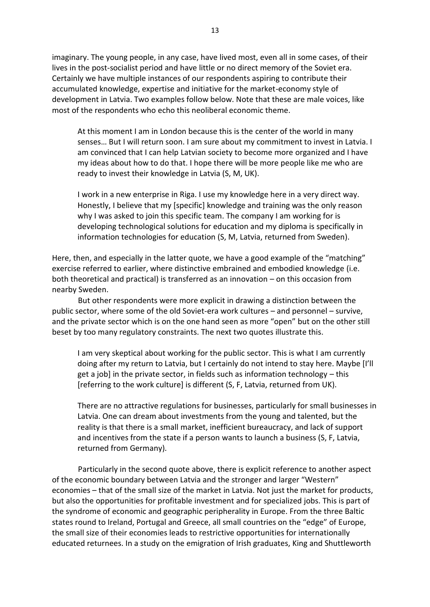imaginary. The young people, in any case, have lived most, even all in some cases, of their lives in the post-socialist period and have little or no direct memory of the Soviet era. Certainly we have multiple instances of our respondents aspiring to contribute their accumulated knowledge, expertise and initiative for the market-economy style of development in Latvia. Two examples follow below. Note that these are male voices, like most of the respondents who echo this neoliberal economic theme.

At this moment I am in London because this is the center of the world in many senses... But I will return soon. I am sure about my commitment to invest in Latvia. I am convinced that I can help Latvian society to become more organized and I have my ideas about how to do that. I hope there will be more people like me who are ready to invest their knowledge in Latvia (S, M, UK).

I work in a new enterprise in Riga. I use my knowledge here in a very direct way. Honestly, I believe that my [specific] knowledge and training was the only reason why I was asked to join this specific team. The company I am working for is developing technological solutions for education and my diploma is specifically in information technologies for education (S, M, Latvia, returned from Sweden).

Here, then, and especially in the latter quote, we have a good example of the "matching" exercise referred to earlier, where distinctive embrained and embodied knowledge (i.e. both theoretical and practical) is transferred as an innovation - on this occasion from nearby Sweden.

But other respondents were more explicit in drawing a distinction between the public sector, where some of the old Soviet-era work cultures - and personnel - survive, and the private sector which is on the one hand seen as more "open" but on the other still beset by too many regulatory constraints. The next two quotes illustrate this.

I am very skeptical about working for the public sector. This is what I am currently doing after my return to Latvia, but I certainly do not intend to stay here. Maybe [I'll get a job] in the private sector, in fields such as information technology - this [referring to the work culture] is different (S, F, Latvia, returned from UK).

There are no attractive regulations for businesses, particularly for small businesses in Latvia. One can dream about investments from the young and talented, but the reality is that there is a small market, inefficient bureaucracy, and lack of support and incentives from the state if a person wants to launch a business (S, F, Latvia, returned from Germany).

Particularly in the second quote above, there is explicit reference to another aspect of the economic boundary between Latvia and the stronger and larger "Western" economies - that of the small size of the market in Latvia. Not just the market for products, but also the opportunities for profitable investment and for specialized jobs. This is part of the syndrome of economic and geographic peripherality in Europe. From the three Baltic states round to Ireland, Portugal and Greece, all small countries on the "edge" of Europe, the small size of their economies leads to restrictive opportunities for internationally educated returnees. In a study on the emigration of Irish graduates, King and Shuttleworth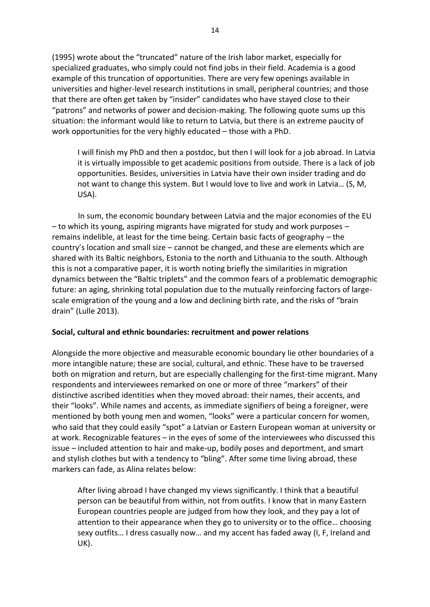(1995) wrote about the "truncated" nature of the Irish labor market, especially for specialized graduates, who simply could not find jobs in their field. Academia is a good example of this truncation of opportunities. There are very few openings available in universities and higher-level research institutions in small, peripheral countries; and those that there are often get taken by "insider" candidates who have stayed close to their "patrons" and networks of power and decision-making. The following quote sums up this situation: the informant would like to return to Latvia, but there is an extreme paucity of work opportunities for the very highly educated - those with a PhD.

I will finish my PhD and then a postdoc, but then I will look for a job abroad. In Latvia it is virtually impossible to get academic positions from outside. There is a lack of job opportunities. Besides, universities in Latvia have their own insider trading and do not want to change this system. But I would love to live and work in Latvia... (S, M, USA).

In sum, the economic boundary between Latvia and the major economies of the EU - to which its young, aspiring migrants have migrated for study and work purposes remains indelible, at least for the time being. Certain basic facts of geography - the country's location and small size - cannot be changed, and these are elements which are shared with its Baltic neighbors, Estonia to the north and Lithuania to the south. Although this is not a comparative paper, it is worth noting briefly the similarities in migration dynamics between the "Baltic triplets" and the common fears of a problematic demographic future: an aging, shrinking total population due to the mutually reinforcing factors of largescale emigration of the young and a low and declining birth rate, and the risks of "brain" drain" (Lulle 2013).

## Social, cultural and ethnic boundaries: recruitment and power relations

Alongside the more objective and measurable economic boundary lie other boundaries of a more intangible nature; these are social, cultural, and ethnic. These have to be traversed both on migration and return, but are especially challenging for the first-time migrant. Many respondents and interviewees remarked on one or more of three "markers" of their distinctive ascribed identities when they moved abroad: their names, their accents, and their "looks". While names and accents, as immediate signifiers of being a foreigner, were mentioned by both young men and women, "looks" were a particular concern for women, who said that they could easily "spot" a Latvian or Eastern European woman at university or at work. Recognizable features - in the eyes of some of the interviewees who discussed this issue – included attention to hair and make-up, bodily poses and deportment, and smart and stylish clothes but with a tendency to "bling". After some time living abroad, these markers can fade, as Alina relates below:

After living abroad I have changed my views significantly. I think that a beautiful person can be beautiful from within, not from outfits. I know that in many Eastern European countries people are judged from how they look, and they pay a lot of attention to their appearance when they go to university or to the office... choosing sexy outfits... I dress casually now... and my accent has faded away (I, F, Ireland and UK).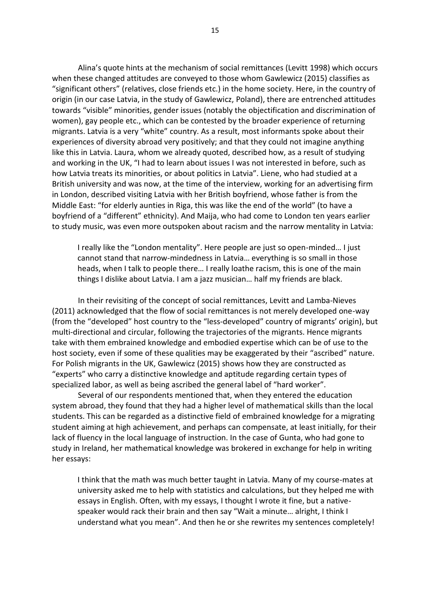Alina's quote hints at the mechanism of social remittances (Levitt 1998) which occurs when these changed attitudes are conveyed to those whom Gawlewicz (2015) classifies as "significant others" (relatives, close friends etc.) in the home society. Here, in the country of origin (in our case Latvia, in the study of Gawlewicz, Poland), there are entrenched attitudes towards "visible" minorities, gender issues (notably the objectification and discrimination of women), gay people etc., which can be contested by the broader experience of returning migrants. Latvia is a very "white" country. As a result, most informants spoke about their experiences of diversity abroad very positively; and that they could not imagine anything like this in Latvia. Laura, whom we already quoted, described how, as a result of studying and working in the UK, "I had to learn about issues I was not interested in before, such as how Latvia treats its minorities, or about politics in Latvia". Liene, who had studied at a British university and was now, at the time of the interview, working for an advertising firm in London, described visiting Latvia with her British boyfriend, whose father is from the Middle East: "for elderly aunties in Riga, this was like the end of the world" (to have a boyfriend of a "different" ethnicity). And Maija, who had come to London ten years earlier to study music, was even more outspoken about racism and the narrow mentality in Latvia:

I really like the "London mentality". Here people are just so open-minded... I just cannot stand that narrow-mindedness in Latvia... everything is so small in those heads, when I talk to people there... I really loathe racism, this is one of the main things I dislike about Latvia. I am a jazz musician... half my friends are black.

In their revisiting of the concept of social remittances, Levitt and Lamba-Nieves (2011) acknowledged that the flow of social remittances is not merely developed one-way (from the "developed" host country to the "less-developed" country of migrants' origin), but multi-directional and circular, following the trajectories of the migrants. Hence migrants take with them embrained knowledge and embodied expertise which can be of use to the host society, even if some of these qualities may be exaggerated by their "ascribed" nature. For Polish migrants in the UK, Gawlewicz (2015) shows how they are constructed as "experts" who carry a distinctive knowledge and aptitude regarding certain types of specialized labor, as well as being ascribed the general label of "hard worker".

Several of our respondents mentioned that, when they entered the education system abroad, they found that they had a higher level of mathematical skills than the local students. This can be regarded as a distinctive field of embrained knowledge for a migrating student aiming at high achievement, and perhaps can compensate, at least initially, for their lack of fluency in the local language of instruction. In the case of Gunta, who had gone to study in Ireland, her mathematical knowledge was brokered in exchange for help in writing her essays:

I think that the math was much better taught in Latvia. Many of my course-mates at university asked me to help with statistics and calculations, but they helped me with essays in English. Often, with my essays, I thought I wrote it fine, but a nativespeaker would rack their brain and then say "Wait a minute... alright, I think I understand what you mean". And then he or she rewrites my sentences completely!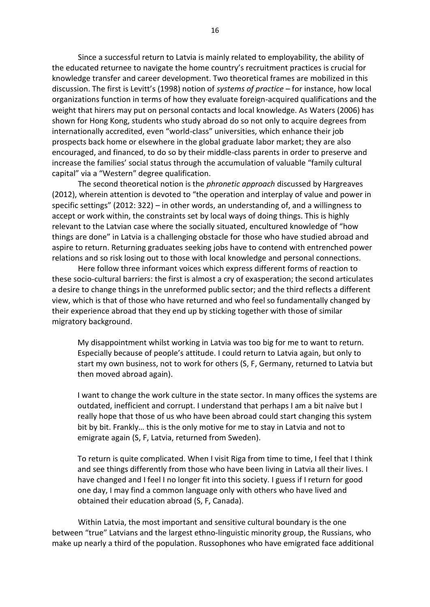Since a successful return to Latvia is mainly related to employability, the ability of the educated returnee to navigate the home country's recruitment practices is crucial for knowledge transfer and career development. Two theoretical frames are mobilized in this discussion. The first is Levitt's (1998) notion of systems of practice  $-$  for instance, how local organizations function in terms of how they evaluate foreign-acquired qualifications and the weight that hirers may put on personal contacts and local knowledge. As Waters (2006) has shown for Hong Kong, students who study abroad do so not only to acquire degrees from internationally accredited, even "world-class" universities, which enhance their job prospects back home or elsewhere in the global graduate labor market; they are also encouraged, and financed, to do so by their middle-class parents in order to preserve and increase the families' social status through the accumulation of valuable "family cultural capital" via a "Western" degree qualification.

The second theoretical notion is the *phronetic approach* discussed by Hargreaves (2012), wherein attention is devoted to "the operation and interplay of value and power in specific settings" (2012: 322) – in other words, an understanding of, and a willingness to accept or work within, the constraints set by local ways of doing things. This is highly relevant to the Latvian case where the socially situated, encultured knowledge of "how things are done" in Latvia is a challenging obstacle for those who have studied abroad and aspire to return. Returning graduates seeking jobs have to contend with entrenched power relations and so risk losing out to those with local knowledge and personal connections.

Here follow three informant voices which express different forms of reaction to these socio-cultural barriers: the first is almost a cry of exasperation; the second articulates a desire to change things in the unreformed public sector; and the third reflects a different view, which is that of those who have returned and who feel so fundamentally changed by their experience abroad that they end up by sticking together with those of similar migratory background.

My disappointment whilst working in Latvia was too big for me to want to return. Especially because of people's attitude. I could return to Latvia again, but only to start my own business, not to work for others (S, F, Germany, returned to Latvia but then moved abroad again).

I want to change the work culture in the state sector. In many offices the systems are outdated, inefficient and corrupt. I understand that perhaps I am a bit naïve but I really hope that those of us who have been abroad could start changing this system bit by bit. Frankly... this is the only motive for me to stay in Latvia and not to emigrate again (S, F, Latvia, returned from Sweden).

To return is quite complicated. When I visit Riga from time to time, I feel that I think and see things differently from those who have been living in Latvia all their lives. I have changed and I feel I no longer fit into this society. I guess if I return for good one day, I may find a common language only with others who have lived and obtained their education abroad (S, F, Canada).

Within Latvia, the most important and sensitive cultural boundary is the one between "true" Latvians and the largest ethno-linguistic minority group, the Russians, who make up nearly a third of the population. Russophones who have emigrated face additional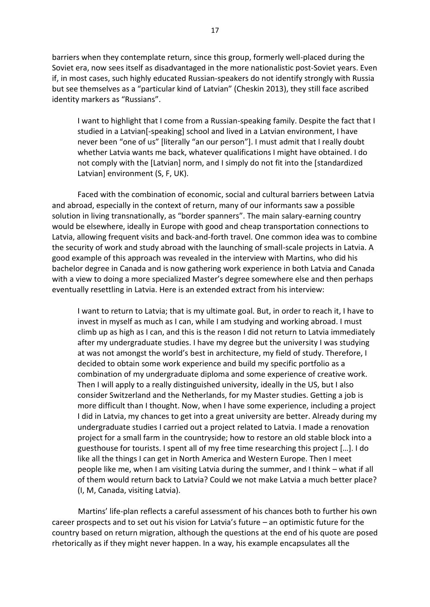barriers when they contemplate return, since this group, formerly well-placed during the Soviet era, now sees itself as disadvantaged in the more nationalistic post-Soviet years. Even if, in most cases, such highly educated Russian-speakers do not identify strongly with Russia but see themselves as a "particular kind of Latvian" (Cheskin 2013), they still face ascribed identity markers as "Russians".

 I want to highlight that I come from a Russian-speaking family. Despite the fact that I studied in a Latvian[-speaking] school and lived in a Latvian environment, I have never been "one of us" [literally "an our person"]. I must admit that I really doubt whether Latvia wants me back, whatever qualifications I might have obtained. I do not comply with the [Latvian] norm, and I simply do not fit into the [standardized Latvian] environment (S, F, UK).

Faced with the combination of economic, social and cultural barriers between Latvia and abroad, especially in the context of return, many of our informants saw a possible solution in living transnationally, as "border spanners". The main salary-earning country would be elsewhere, ideally in Europe with good and cheap transportation connections to Latvia, allowing frequent visits and back-and-forth travel. One common idea was to combine the security of work and study abroad with the launching of small-scale projects in Latvia. A good example of this approach was revealed in the interview with Martins, who did his bachelor degree in Canada and is now gathering work experience in both Latvia and Canada with a view to doing a more specialized Master's degree somewhere else and then perhaps eventually resettling in Latvia. Here is an extended extract from his interview:

 I want to return to Latvia; that is my ultimate goal. But, in order to reach it, I have to invest in myself as much as I can, while I am studying and working abroad. I must climb up as high as I can, and this is the reason I did not return to Latvia immediately after my undergraduate studies. I have my degree but the university I was studying at was not amongst the world's best in architecture, my field of study. Therefore, I decided to obtain some work experience and build my specific portfolio as a combination of my undergraduate diploma and some experience of creative work. Then I will apply to a really distinguished university, ideally in the US, but I also consider Switzerland and the Netherlands, for my Master studies. Getting a job is more difficult than I thought. Now, when I have some experience, including a project I did in Latvia, my chances to get into a great university are better. Already during my undergraduate studies I carried out a project related to Latvia. I made a renovation project for a small farm in the countryside; how to restore an old stable block into a guesthouse for tourists. I spent all of my free time researching this project [...]. I do like all the things I can get in North America and Western Europe. Then I meet people like me, when I am visiting Latvia during the summer, and I think – what if all of them would return back to Latvia? Could we not make Latvia a much better place? (I, M, Canada, visiting Latvia).

Martins' life-plan reflects a careful assessment of his chances both to further his own career prospects and to set out his vision for Latvia's future – an optimistic future for the country based on return migration, although the questions at the end of his quote are posed rhetorically as if they might never happen. In a way, his example encapsulates all the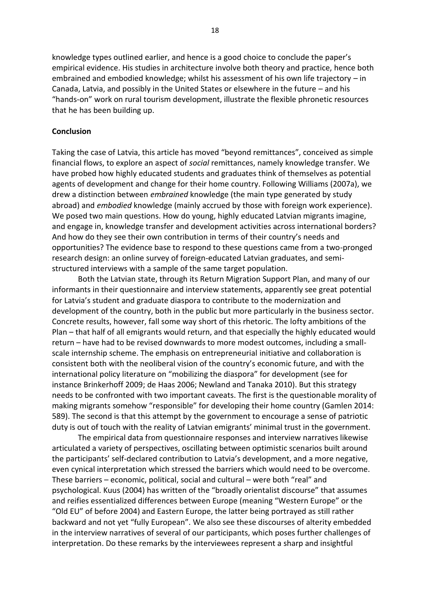knowledge types outlined earlier, and hence is a good choice to conclude the paper's empirical evidence. His studies in architecture involve both theory and practice, hence both embrained and embodied knowledge; whilst his assessment of his own life trajectory - in Canada, Latvia, and possibly in the United States or elsewhere in the future - and his "hands-on" work on rural tourism development, illustrate the flexible phronetic resources that he has been building up.

#### Conclusion

Taking the case of Latvia, this article has moved "beyond remittances", conceived as simple financial flows, to explore an aspect of *social* remittances, namely knowledge transfer. We have probed how highly educated students and graduates think of themselves as potential agents of development and change for their home country. Following Williams (2007a), we drew a distinction between *embrained* knowledge (the main type generated by study abroad) and *embodied* knowledge (mainly accrued by those with foreign work experience). We posed two main questions. How do young, highly educated Latvian migrants imagine, and engage in, knowledge transfer and development activities across international borders? And how do they see their own contribution in terms of their country's needs and opportunities? The evidence base to respond to these questions came from a two-pronged research design: an online survey of foreign-educated Latvian graduates, and semistructured interviews with a sample of the same target population.

Both the Latvian state, through its Return Migration Support Plan, and many of our informants in their questionnaire and interview statements, apparently see great potential for Latvia's student and graduate diaspora to contribute to the modernization and development of the country, both in the public but more particularly in the business sector. Concrete results, however, fall some way short of this rhetoric. The lofty ambitions of the Plan - that half of all emigrants would return, and that especially the highly educated would return - have had to be revised downwards to more modest outcomes, including a smallscale internship scheme. The emphasis on entrepreneurial initiative and collaboration is consistent both with the neoliberal vision of the country's economic future, and with the international policy literature on "mobilizing the diaspora" for development (see for instance Brinkerhoff 2009; de Haas 2006; Newland and Tanaka 2010). But this strategy needs to be confronted with two important caveats. The first is the questionable morality of making migrants somehow "responsible" for developing their home country (Gamlen 2014: 589). The second is that this attempt by the government to encourage a sense of patriotic duty is out of touch with the reality of Latvian emigrants' minimal trust in the government.

The empirical data from questionnaire responses and interview narratives likewise articulated a variety of perspectives, oscillating between optimistic scenarios built around the participants' self-declared contribution to Latvia's development, and a more negative, even cynical interpretation which stressed the barriers which would need to be overcome. These barriers – economic, political, social and cultural – were both "real" and psychological. Kuus (2004) has written of the "broadly orientalist discourse" that assumes and reifies essentialized differences between Europe (meaning "Western Europe" or the "Old EU" of before 2004) and Eastern Europe, the latter being portrayed as still rather backward and not yet "fully European". We also see these discourses of alterity embedded in the interview narratives of several of our participants, which poses further challenges of interpretation. Do these remarks by the interviewees represent a sharp and insightful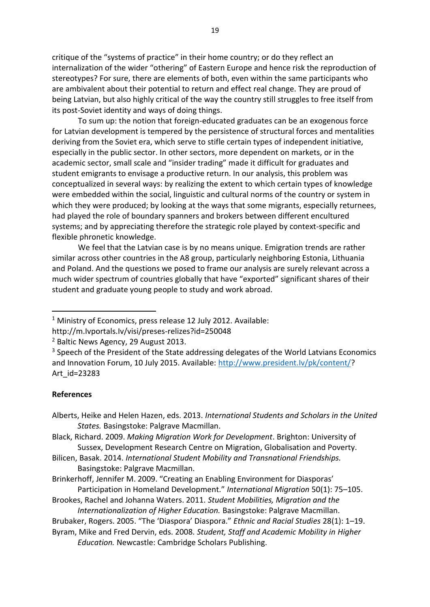critique of the "systems of practice" in their home country; or do they reflect an internalization of the wider "othering" of Eastern Europe and hence risk the reproduction of stereotypes? For sure, there are elements of both, even within the same participants who are ambivalent about their potential to return and effect real change. They are proud of being Latvian, but also highly critical of the way the country still struggles to free itself from its post-Soviet identity and ways of doing things.

To sum up: the notion that foreign-educated graduates can be an exogenous force for Latvian development is tempered by the persistence of structural forces and mentalities deriving from the Soviet era, which serve to stifle certain types of independent initiative, especially in the public sector. In other sectors, more dependent on markets, or in the academic sector, small scale and "insider trading" made it difficult for graduates and student emigrants to envisage a productive return. In our analysis, this problem was conceptualized in several ways: by realizing the extent to which certain types of knowledge were embedded within the social, linguistic and cultural norms of the country or system in which they were produced; by looking at the ways that some migrants, especially returnees, had played the role of boundary spanners and brokers between different encultured systems; and by appreciating therefore the strategic role played by context-specific and flexible phronetic knowledge.

We feel that the Latvian case is by no means unique. Emigration trends are rather similar across other countries in the A8 group, particularly neighboring Estonia, Lithuania and Poland. And the questions we posed to frame our analysis are surely relevant across a much wider spectrum of countries globally that have "exported" significant shares of their student and graduate young people to study and work abroad.

#### **References**

Alberts, Heike and Helen Hazen, eds. 2013. International Students and Scholars in the United States. Basingstoke: Palgrave Macmillan.

Byram, Mike and Fred Dervin, eds. 2008. Student, Staff and Academic Mobility in Higher Education. Newcastle: Cambridge Scholars Publishing.

<sup>&</sup>lt;sup>1</sup> Ministry of Economics, press release 12 July 2012. Available:

http://m.lvportals.lv/visi/preses-relizes?id=250048

<sup>&</sup>lt;sup>2</sup> Baltic News Agency, 29 August 2013.

<sup>&</sup>lt;sup>3</sup> Speech of the President of the State addressing delegates of the World Latvians Economics and Innovation Forum, 10 July 2015. Available: http://www.president.lv/pk/content/? Art id=23283

Black, Richard. 2009. Making Migration Work for Development. Brighton: University of Sussex, Development Research Centre on Migration, Globalisation and Poverty.

Bilicen, Basak. 2014. International Student Mobility and Transnational Friendships. Basingstoke: Palgrave Macmillan.

Brinkerhoff, Jennifer M. 2009. "Creating an Enabling Environment for Diasporas' Participation in Homeland Development." International Migration 50(1): 75-105.

Brookes, Rachel and Johanna Waters. 2011. Student Mobilities, Migration and the Internationalization of Higher Education. Basingstoke: Palgrave Macmillan.

Brubaker, Rogers. 2005. "The 'Diaspora' Diaspora." Ethnic and Racial Studies 28(1): 1-19.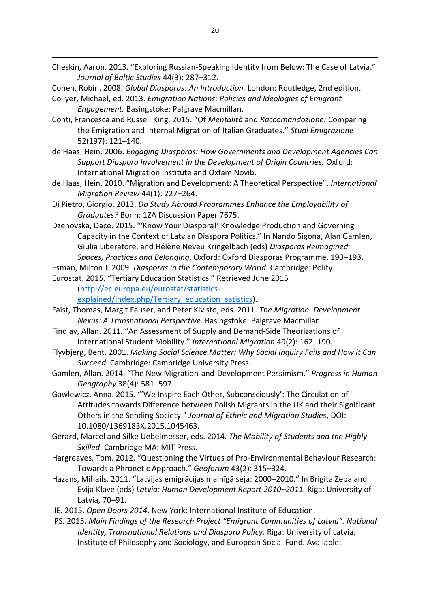Cheskin, Aaron. 2013. "Exploring Russian-Speaking Identity from Below: The Case of Latvia." Journal of Baltic Studies 44(3): 287-312.

Cohen, Robin. 2008. Global Diasporas: An Introduction. London: Routledge, 2nd edition.

- Collyer, Michael, ed. 2013. Emigration Nations: Policies and Ideologies of Emigrant Engagement. Basingstoke: Palgrave Macmillan.
- Conti, Francesca and Russell King. 2015. "Of Mentalità and Raccomandozione: Comparing the Emigration and Internal Migration of Italian Graduates." Studi Emigrazione  $52(197): 121 - 140.$
- de Haas, Hein. 2006. Engaging Diasporas: How Governments and Development Agencies Can Support Diaspora Involvement in the Development of Origin Countries. Oxford: International Migration Institute and Oxfam Novib.
- de Haas, Hein. 2010. "Migration and Development: A Theoretical Perspective". International Miaration Review 44(1): 227-264.
- Di Pietro, Giorgio. 2013. Do Study Abroad Programmes Enhance the Employability of Graduates? Bonn: 1ZA Discussion Paper 7675.
- Dzenovska, Dace. 2015. "'Know Your Diaspora!' Knowledge Production and Governing Capacity in the Context of Latvian Diaspora Politics." In Nando Sigona, Alan Gamlen, Giulia Liberatore, and Hélène Neveu Kringelbach (eds) Diasporas Reimagined: Spaces, Practices and Belonging. Oxford: Oxford Diasporas Programme, 190–193.
- Esman, Milton J. 2009. Diasporas in the Contemporary World. Cambridge: Polity.

Eurostat. 2015. "Tertiary Education Statistics." Retrieved June 2015

(http://ec.europa.eu/eurostat/statistics-

explained/index.php/Tertiary education satistics).

- Faist, Thomas, Margit Fauser, and Peter Kivisto, eds. 2011. The Migration-Development Nexus: A Transnational Perspective. Basingstoke: Palgrave Macmillan.
- Findlay, Allan. 2011. "An Assessment of Supply and Demand-Side Theorizations of International Student Mobility." International Migration 49(2): 162-190.
- Flyvbjerg, Bent. 2001. Making Social Science Matter: Why Social Inquiry Fails and How it Can Succeed. Cambridge: Cambridge University Press.
- Gamlen, Allan. 2014. "The New Migration-and-Development Pessimism." Progress in Human Geography 38(4): 581-597.
- Gawlewicz, Anna. 2015. "'We Inspire Each Other, Subconsciously': The Circulation of Attitudes towards Difference between Polish Migrants in the UK and their Significant Others in the Sending Society." Journal of Ethnic and Migration Studies, DOI: 10.1080/1369183X.2015.1045463.
- Gérard, Marcel and Silke Uebelmesser, eds. 2014. The Mobility of Students and the Highly Skilled. Cambridge MA: MIT Press.
- Hargreaves, Tom. 2012. "Questioning the Virtues of Pro-Environmental Behaviour Research: Towards a Phronetic Approach." Geoforum 43(2): 315-324.
- Hazans, Mihails. 2011. "Latvijas emigrācijas mainīgā seja: 2000-2010." In Brigita Zepa and Evija Klave (eds) Latvia: Human Development Report 2010-2011. Riga: University of Latvia, 70-91.
- IIE. 2015. Open Doors 2014. New York: International Institute of Education.
- IPS. 2015. Main Findings of the Research Project "Emigrant Communities of Latvia". National Identity, Transnational Relations and Diaspora Policy. Riga: University of Latvia, Institute of Philosophy and Sociology, and European Social Fund. Available: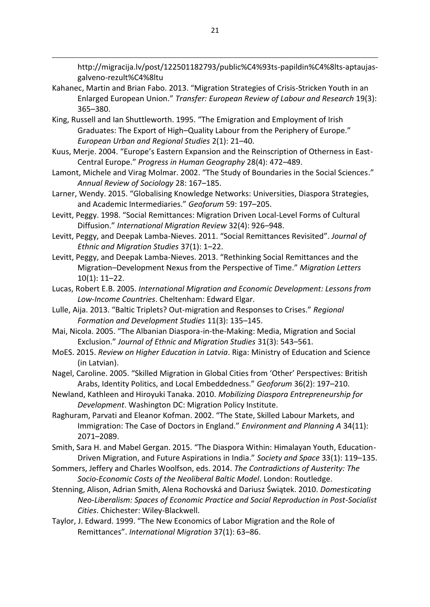http://migracija.lv/post/122501182793/public%C4%93ts-papildin%C4%8lts-aptaujasgalveno-rezult%C4%8ltu

- Kahanec, Martin and Brian Fabo. 2013. "Migration Strategies of Crisis-Stricken Youth in an Enlarged European Union." Transfer: European Review of Labour and Research 19(3):  $365 - 380.$
- King, Russell and Ian Shuttleworth. 1995. "The Emigration and Employment of Irish Graduates: The Export of High-Quality Labour from the Periphery of Europe." European Urban and Regional Studies 2(1): 21-40.
- Kuus, Merje. 2004. "Europe's Eastern Expansion and the Reinscription of Otherness in East-Central Europe." Progress in Human Geography 28(4): 472-489.
- Lamont, Michele and Virag Molmar. 2002. "The Study of Boundaries in the Social Sciences." Annual Review of Sociology 28: 167-185.
- Larner, Wendy. 2015. "Globalising Knowledge Networks: Universities, Diaspora Strategies, and Academic Intermediaries." Geoforum 59: 197-205.
- Levitt, Peggy. 1998. "Social Remittances: Migration Driven Local-Level Forms of Cultural Diffusion." International Migration Review 32(4): 926-948.
- Levitt, Peggy, and Deepak Lamba-Nieves. 2011. "Social Remittances Revisited". Journal of Ethnic and Migration Studies 37(1): 1-22.
- Levitt, Peggy, and Deepak Lamba-Nieves. 2013. "Rethinking Social Remittances and the Migration-Development Nexus from the Perspective of Time." Migration Letters  $10(1): 11-22.$
- Lucas, Robert E.B. 2005. International Migration and Economic Development: Lessons from Low-Income Countries. Cheltenham: Edward Elgar.
- Lulle, Aija. 2013. "Baltic Triplets? Out-migration and Responses to Crises." Regional Formation and Development Studies 11(3): 135-145.
- Mai, Nicola. 2005. "The Albanian Diaspora-in-the-Making: Media, Migration and Social Exclusion." Journal of Ethnic and Migration Studies 31(3): 543-561.
- MoES. 2015. Review on Higher Education in Latvia. Riga: Ministry of Education and Science (in Latvian).
- Nagel, Caroline. 2005. "Skilled Migration in Global Cities from 'Other' Perspectives: British Arabs, Identity Politics, and Local Embeddedness." Geoforum 36(2): 197-210.
- Newland, Kathleen and Hiroyuki Tanaka. 2010. Mobilizing Diaspora Entrepreneurship for Development. Washington DC: Migration Policy Institute.
- Raghuram, Parvati and Eleanor Kofman. 2002. "The State, Skilled Labour Markets, and Immigration: The Case of Doctors in England." Environment and Planning A 34(11): 2071-2089.
- Smith, Sara H. and Mabel Gergan. 2015. "The Diaspora Within: Himalayan Youth, Education-Driven Migration, and Future Aspirations in India." Society and Space 33(1): 119-135.
- Sommers, Jeffery and Charles Woolfson, eds. 2014. The Contradictions of Austerity: The Socio-Economic Costs of the Neoliberal Baltic Model. London: Routledge.
- Stenning, Alison, Adrian Smith, Alena Rochovská and Dariusz Świątek. 2010. Domesticating Neo-Liberalism: Spaces of Economic Practice and Social Reproduction in Post-Socialist Cities. Chichester: Wiley-Blackwell.
- Taylor, J. Edward. 1999. "The New Economics of Labor Migration and the Role of Remittances". International Migration 37(1): 63-86.